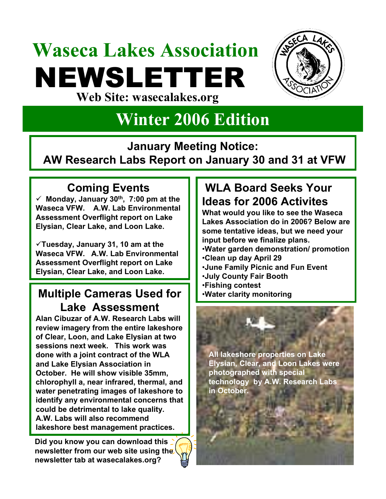# **Waseca Lakes Association** NEWSLETTER **Web Site: wasecalakes.org**



# **Winter 2006 Edition**

**January Meeting Notice:** 

**AW Research Labs Report on January 30 and 31 at VFW**

#### **Coming Events**

 $\checkmark$  Monday, January 30<sup>th</sup>, 7:00 pm at the **Waseca VFW. A.W. Lab Environmental Assessment Overflight report on Lake Elysian, Clear Lake, and Loon Lake.**

9**Tuesday, January 31, 10 am at the Waseca VFW. A.W. Lab Environmental Assessment Overflight report on Lake Elysian, Clear Lake, and Loon Lake.**

#### **Multiple Cameras Used for | | Water clarity monitoring Lake Assessment**

**Alan Cibuzar of A.W. Research Labs will review imagery from the entire lakeshore of Clear, Loon, and Lake Elysian at two sessions next week. This work was done with a joint contract of the WLA and Lake Elysian Association in October. He will show visible 35mm, chlorophyll a, near infrared, thermal, and water penetrating images of lakeshore to identify any environmental concerns that could be detrimental to lake quality. A.W. Labs will also recommend lakeshore best management practices.**

**Did you know you can download this newsletter from our web site using the newsletter tab at wasecalakes.org?**

#### **WLA Board Seeks Your Ideas for 2006 Activites**

**What would you like to see the Waseca Lakes Association do in 2006? Below are some tentative ideas, but we need your input before we finalize plans.** •**Water garden demonstration/ promotion** •**Clean up day April 29** •**June Family Picnic and Fun Event**

- •**July County Fair Booth**
- •**Fishing contest**
-